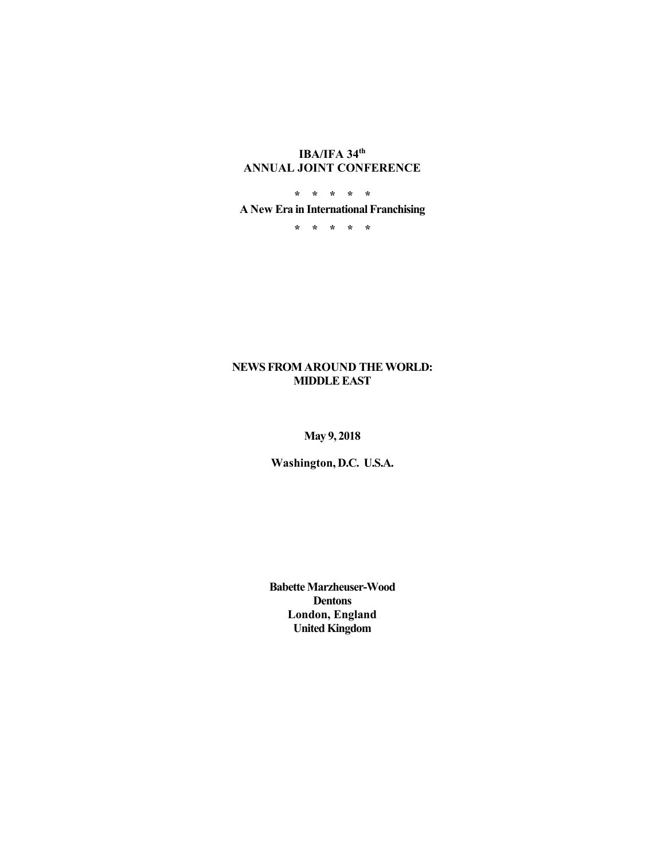# **IBA/IFA 34th ANNUAL JOINT CONFERENCE**

**\* \* \* \* \* A New Era in International Franchising** 

**\* \* \* \* \*** 

### **NEWS FROM AROUND THE WORLD: MIDDLE EAST**

# **May 9, 2018**

**Washington, D.C. U.S.A.** 

**Babette Marzheuser-Wood Dentons London, England United Kingdom**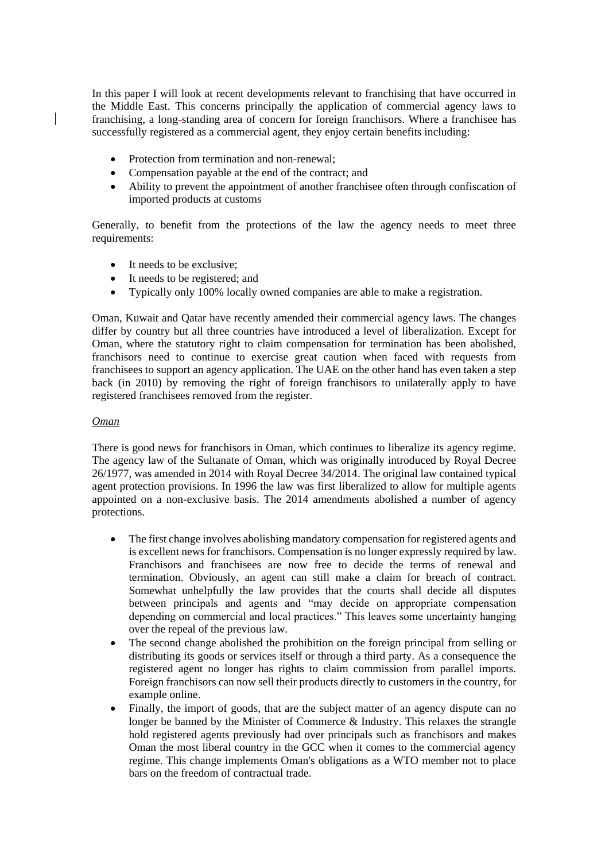In this paper I will look at recent developments relevant to franchising that have occurred in the Middle East. This concerns principally the application of commercial agency laws to franchising, a long standing area of concern for foreign franchisors. Where a franchisee has successfully registered as a commercial agent, they enjoy certain benefits including:

- Protection from termination and non-renewal;
- Compensation payable at the end of the contract; and
- Ability to prevent the appointment of another franchisee often through confiscation of imported products at customs

Generally, to benefit from the protections of the law the agency needs to meet three requirements:

- It needs to be exclusive:
- It needs to be registered; and
- Typically only 100% locally owned companies are able to make a registration.

Oman, Kuwait and Qatar have recently amended their commercial agency laws. The changes differ by country but all three countries have introduced a level of liberalization. Except for Oman, where the statutory right to claim compensation for termination has been abolished, franchisors need to continue to exercise great caution when faced with requests from franchisees to support an agency application. The UAE on the other hand has even taken a step back (in 2010) by removing the right of foreign franchisors to unilaterally apply to have registered franchisees removed from the register.

### *Oman*

There is good news for franchisors in Oman, which continues to liberalize its agency regime. The agency law of the Sultanate of Oman, which was originally introduced by Royal Decree 26/1977, was amended in 2014 with Royal Decree 34/2014. The original law contained typical agent protection provisions. In 1996 the law was first liberalized to allow for multiple agents appointed on a non-exclusive basis. The 2014 amendments abolished a number of agency protections.

- The first change involves abolishing mandatory compensation for registered agents and is excellent news for franchisors. Compensation is no longer expressly required by law. Franchisors and franchisees are now free to decide the terms of renewal and termination. Obviously, an agent can still make a claim for breach of contract. Somewhat unhelpfully the law provides that the courts shall decide all disputes between principals and agents and "may decide on appropriate compensation depending on commercial and local practices." This leaves some uncertainty hanging over the repeal of the previous law.
- The second change abolished the prohibition on the foreign principal from selling or distributing its goods or services itself or through a third party. As a consequence the registered agent no longer has rights to claim commission from parallel imports. Foreign franchisors can now sell their products directly to customers in the country, for example online.
- Finally, the import of goods, that are the subject matter of an agency dispute can no longer be banned by the Minister of Commerce & Industry. This relaxes the strangle hold registered agents previously had over principals such as franchisors and makes Oman the most liberal country in the GCC when it comes to the commercial agency regime. This change implements Oman's obligations as a WTO member not to place bars on the freedom of contractual trade.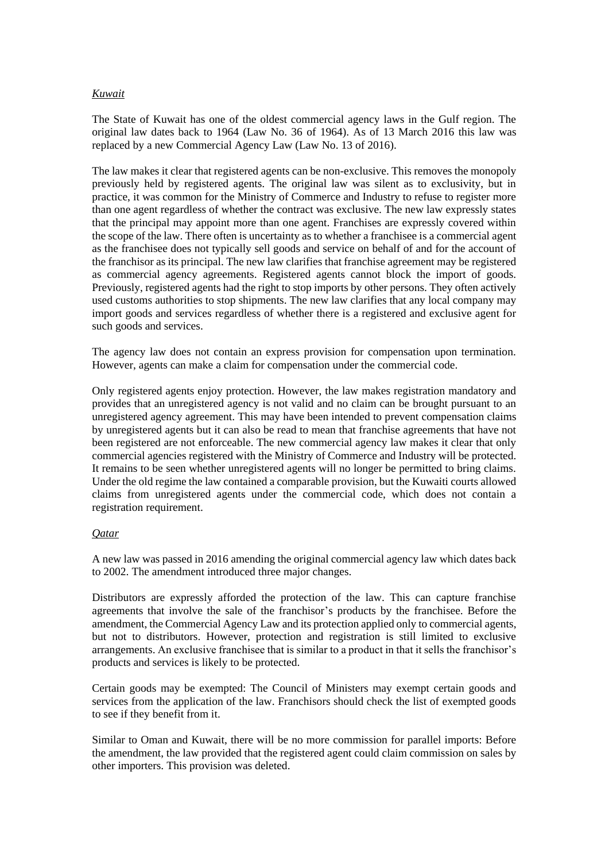### *Kuwait*

The State of Kuwait has one of the oldest commercial agency laws in the Gulf region. The original law dates back to 1964 (Law No. 36 of 1964). As of 13 March 2016 this law was replaced by a new Commercial Agency Law (Law No. 13 of 2016).

The law makes it clear that registered agents can be non-exclusive. This removes the monopoly previously held by registered agents. The original law was silent as to exclusivity, but in practice, it was common for the Ministry of Commerce and Industry to refuse to register more than one agent regardless of whether the contract was exclusive. The new law expressly states that the principal may appoint more than one agent. Franchises are expressly covered within the scope of the law. There often is uncertainty as to whether a franchisee is a commercial agent as the franchisee does not typically sell goods and service on behalf of and for the account of the franchisor as its principal. The new law clarifies that franchise agreement may be registered as commercial agency agreements. Registered agents cannot block the import of goods. Previously, registered agents had the right to stop imports by other persons. They often actively used customs authorities to stop shipments. The new law clarifies that any local company may import goods and services regardless of whether there is a registered and exclusive agent for such goods and services.

The agency law does not contain an express provision for compensation upon termination. However, agents can make a claim for compensation under the commercial code.

Only registered agents enjoy protection. However, the law makes registration mandatory and provides that an unregistered agency is not valid and no claim can be brought pursuant to an unregistered agency agreement. This may have been intended to prevent compensation claims by unregistered agents but it can also be read to mean that franchise agreements that have not been registered are not enforceable. The new commercial agency law makes it clear that only commercial agencies registered with the Ministry of Commerce and Industry will be protected. It remains to be seen whether unregistered agents will no longer be permitted to bring claims. Under the old regime the law contained a comparable provision, but the Kuwaiti courts allowed claims from unregistered agents under the commercial code, which does not contain a registration requirement.

### *Qatar*

A new law was passed in 2016 amending the original commercial agency law which dates back to 2002. The amendment introduced three major changes.

Distributors are expressly afforded the protection of the law. This can capture franchise agreements that involve the sale of the franchisor's products by the franchisee. Before the amendment, the Commercial Agency Law and its protection applied only to commercial agents, but not to distributors. However, protection and registration is still limited to exclusive arrangements. An exclusive franchisee that is similar to a product in that it sells the franchisor's products and services is likely to be protected.

Certain goods may be exempted: The Council of Ministers may exempt certain goods and services from the application of the law. Franchisors should check the list of exempted goods to see if they benefit from it.

Similar to Oman and Kuwait, there will be no more commission for parallel imports: Before the amendment, the law provided that the registered agent could claim commission on sales by other importers. This provision was deleted.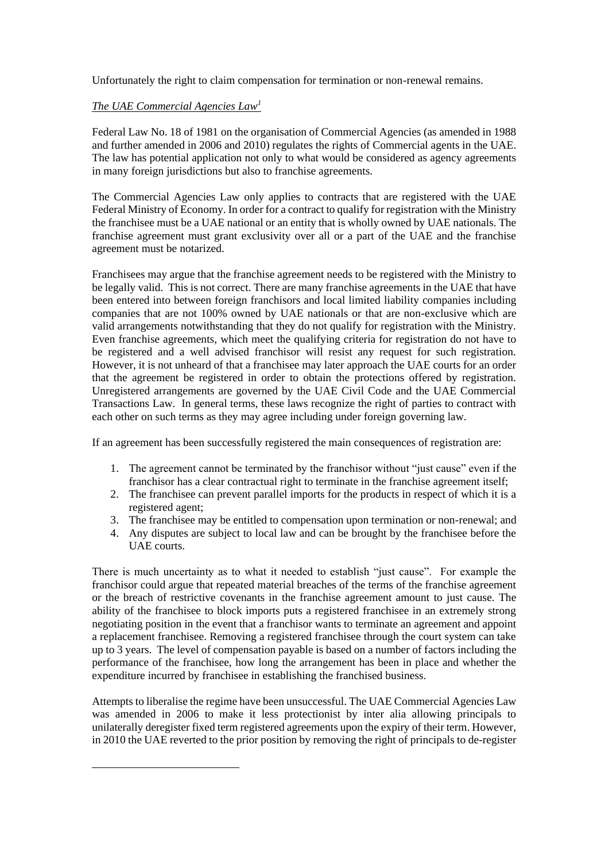Unfortunately the right to claim compensation for termination or non-renewal remains.

### *The UAE Commercial Agencies Law<sup>1</sup>*

<u>.</u>

Federal Law No. 18 of 1981 on the organisation of Commercial Agencies (as amended in 1988 and further amended in 2006 and 2010) regulates the rights of Commercial agents in the UAE. The law has potential application not only to what would be considered as agency agreements in many foreign jurisdictions but also to franchise agreements.

The Commercial Agencies Law only applies to contracts that are registered with the UAE Federal Ministry of Economy. In order for a contract to qualify for registration with the Ministry the franchisee must be a UAE national or an entity that is wholly owned by UAE nationals. The franchise agreement must grant exclusivity over all or a part of the UAE and the franchise agreement must be notarized.

Franchisees may argue that the franchise agreement needs to be registered with the Ministry to be legally valid. This is not correct. There are many franchise agreements in the UAE that have been entered into between foreign franchisors and local limited liability companies including companies that are not 100% owned by UAE nationals or that are non-exclusive which are valid arrangements notwithstanding that they do not qualify for registration with the Ministry. Even franchise agreements, which meet the qualifying criteria for registration do not have to be registered and a well advised franchisor will resist any request for such registration. However, it is not unheard of that a franchisee may later approach the UAE courts for an order that the agreement be registered in order to obtain the protections offered by registration. Unregistered arrangements are governed by the UAE Civil Code and the UAE Commercial Transactions Law. In general terms, these laws recognize the right of parties to contract with each other on such terms as they may agree including under foreign governing law.

If an agreement has been successfully registered the main consequences of registration are:

- 1. The agreement cannot be terminated by the franchisor without "just cause" even if the franchisor has a clear contractual right to terminate in the franchise agreement itself;
- 2. The franchisee can prevent parallel imports for the products in respect of which it is a registered agent;
- 3. The franchisee may be entitled to compensation upon termination or non-renewal; and
- 4. Any disputes are subject to local law and can be brought by the franchisee before the UAE courts.

There is much uncertainty as to what it needed to establish "just cause". For example the franchisor could argue that repeated material breaches of the terms of the franchise agreement or the breach of restrictive covenants in the franchise agreement amount to just cause. The ability of the franchisee to block imports puts a registered franchisee in an extremely strong negotiating position in the event that a franchisor wants to terminate an agreement and appoint a replacement franchisee. Removing a registered franchisee through the court system can take up to 3 years. The level of compensation payable is based on a number of factors including the performance of the franchisee, how long the arrangement has been in place and whether the expenditure incurred by franchisee in establishing the franchised business.

Attempts to liberalise the regime have been unsuccessful. The UAE Commercial Agencies Law was amended in 2006 to make it less protectionist by inter alia allowing principals to unilaterally deregister fixed term registered agreements upon the expiry of their term. However, in 2010 the UAE reverted to the prior position by removing the right of principals to de-register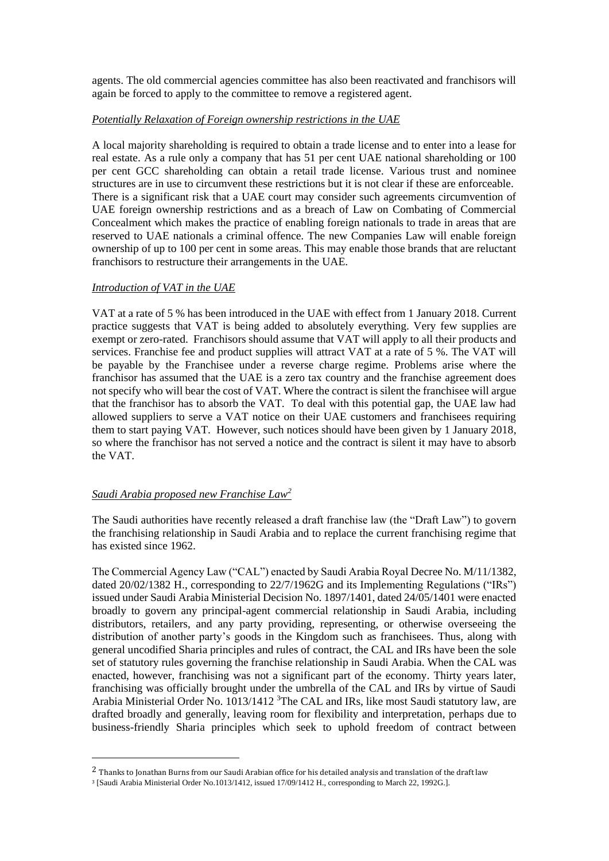agents. The old commercial agencies committee has also been reactivated and franchisors will again be forced to apply to the committee to remove a registered agent.

### *Potentially Relaxation of Foreign ownership restrictions in the UAE*

A local majority shareholding is required to obtain a trade license and to enter into a lease for real estate. As a rule only a company that has 51 per cent UAE national shareholding or 100 per cent GCC shareholding can obtain a retail trade license. Various trust and nominee structures are in use to circumvent these restrictions but it is not clear if these are enforceable. There is a significant risk that a UAE court may consider such agreements circumvention of UAE foreign ownership restrictions and as a breach of Law on Combating of Commercial Concealment which makes the practice of enabling foreign nationals to trade in areas that are reserved to UAE nationals a criminal offence. The new Companies Law will enable foreign ownership of up to 100 per cent in some areas. This may enable those brands that are reluctant franchisors to restructure their arrangements in the UAE.

### *Introduction of VAT in the UAE*

VAT at a rate of 5 % has been introduced in the UAE with effect from 1 January 2018. Current practice suggests that VAT is being added to absolutely everything. Very few supplies are exempt or zero-rated. Franchisors should assume that VAT will apply to all their products and services. Franchise fee and product supplies will attract VAT at a rate of 5 %. The VAT will be payable by the Franchisee under a reverse charge regime. Problems arise where the franchisor has assumed that the UAE is a zero tax country and the franchise agreement does not specify who will bear the cost of VAT. Where the contract is silent the franchisee will argue that the franchisor has to absorb the VAT. To deal with this potential gap, the UAE law had allowed suppliers to serve a VAT notice on their UAE customers and franchisees requiring them to start paying VAT. However, such notices should have been given by 1 January 2018, so where the franchisor has not served a notice and the contract is silent it may have to absorb the VAT.

# *Saudi Arabia proposed new Franchise Law<sup>2</sup>*

<u>.</u>

The Saudi authorities have recently released a draft franchise law (the "Draft Law") to govern the franchising relationship in Saudi Arabia and to replace the current franchising regime that has existed since 1962.

The Commercial Agency Law ("CAL") enacted by Saudi Arabia Royal Decree No. M/11/1382, dated 20/02/1382 H., corresponding to 22/7/1962G and its Implementing Regulations ("IRs") issued under Saudi Arabia Ministerial Decision No. 1897/1401, dated 24/05/1401 were enacted broadly to govern any principal-agent commercial relationship in Saudi Arabia, including distributors, retailers, and any party providing, representing, or otherwise overseeing the distribution of another party's goods in the Kingdom such as franchisees. Thus, along with general uncodified Sharia principles and rules of contract, the CAL and IRs have been the sole set of statutory rules governing the franchise relationship in Saudi Arabia. When the CAL was enacted, however, franchising was not a significant part of the economy. Thirty years later, franchising was officially brought under the umbrella of the CAL and IRs by virtue of Saudi Arabia Ministerial Order No. 1013/1412<sup>3</sup>The CAL and IRs, like most Saudi statutory law, are drafted broadly and generally, leaving room for flexibility and interpretation, perhaps due to business-friendly Sharia principles which seek to uphold freedom of contract between

<sup>&</sup>lt;sup>2</sup> Thanks to Jonathan Burns from our Saudi Arabian office for his detailed analysis and translation of the draft law

<sup>3</sup> [Saudi Arabia Ministerial Order No.1013/1412, issued 17/09/1412 H., corresponding to March 22, 1992G.].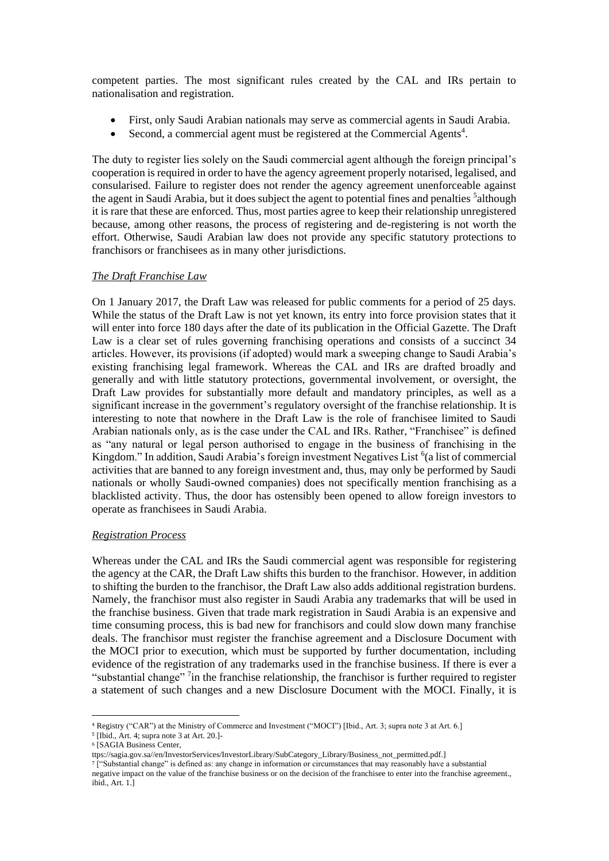competent parties. The most significant rules created by the CAL and IRs pertain to nationalisation and registration.

- First, only Saudi Arabian nationals may serve as commercial agents in Saudi Arabia.
- Second, a commercial agent must be registered at the Commercial Agents<sup>4</sup>.

The duty to register lies solely on the Saudi commercial agent although the foreign principal's cooperation is required in order to have the agency agreement properly notarised, legalised, and consularised. Failure to register does not render the agency agreement unenforceable against the agent in Saudi Arabia, but it does subject the agent to potential fines and penalties <sup>5</sup>although it is rare that these are enforced. Thus, most parties agree to keep their relationship unregistered because, among other reasons, the process of registering and de-registering is not worth the effort. Otherwise, Saudi Arabian law does not provide any specific statutory protections to franchisors or franchisees as in many other jurisdictions.

### *The Draft Franchise Law*

On 1 January 2017, the Draft Law was released for public comments for a period of 25 days. While the status of the Draft Law is not yet known, its entry into force provision states that it will enter into force 180 days after the date of its publication in the Official Gazette. The Draft Law is a clear set of rules governing franchising operations and consists of a succinct 34 articles. However, its provisions (if adopted) would mark a sweeping change to Saudi Arabia's existing franchising legal framework. Whereas the CAL and IRs are drafted broadly and generally and with little statutory protections, governmental involvement, or oversight, the Draft Law provides for substantially more default and mandatory principles, as well as a significant increase in the government's regulatory oversight of the franchise relationship. It is interesting to note that nowhere in the Draft Law is the role of franchisee limited to Saudi Arabian nationals only, as is the case under the CAL and IRs. Rather, "Franchisee" is defined as "any natural or legal person authorised to engage in the business of franchising in the Kingdom." In addition, Saudi Arabia's foreign investment Negatives List <sup>6</sup>(a list of commercial activities that are banned to any foreign investment and, thus, may only be performed by Saudi nationals or wholly Saudi-owned companies) does not specifically mention franchising as a blacklisted activity. Thus, the door has ostensibly been opened to allow foreign investors to operate as franchisees in Saudi Arabia.

### *Registration Process*

Whereas under the CAL and IRs the Saudi commercial agent was responsible for registering the agency at the CAR, the Draft Law shifts this burden to the franchisor. However, in addition to shifting the burden to the franchisor, the Draft Law also adds additional registration burdens. Namely, the franchisor must also register in Saudi Arabia any trademarks that will be used in the franchise business. Given that trade mark registration in Saudi Arabia is an expensive and time consuming process, this is bad new for franchisors and could slow down many franchise deals. The franchisor must register the franchise agreement and a Disclosure Document with the MOCI prior to execution, which must be supported by further documentation, including evidence of the registration of any trademarks used in the franchise business. If there is ever a "substantial change"<sup>7</sup> in the franchise relationship, the franchisor is further required to register a statement of such changes and a new Disclosure Document with the MOCI. Finally, it is

<u>.</u>

<sup>4</sup> Registry ("CAR") at the Ministry of Commerce and Investment ("MOCI") [Ibid., Art. 3; supra note 3 at Art. 6.]

<sup>&</sup>lt;sup>5</sup> [Ibid., Art. 4; supra note 3 at Art. 20.]-

<sup>6</sup> [SAGIA Business Center,

ttps://sagia.gov.sa//en/InvestorServices/InvestorLibrary/SubCategory\_Library/Business\_not\_permitted.pdf.]

<sup>7</sup> ["Substantial change" is defined as: any change in information or circumstances that may reasonably have a substantial negative impact on the value of the franchise business or on the decision of the franchisee to enter into the franchise agreement., ibid., Art. 1.]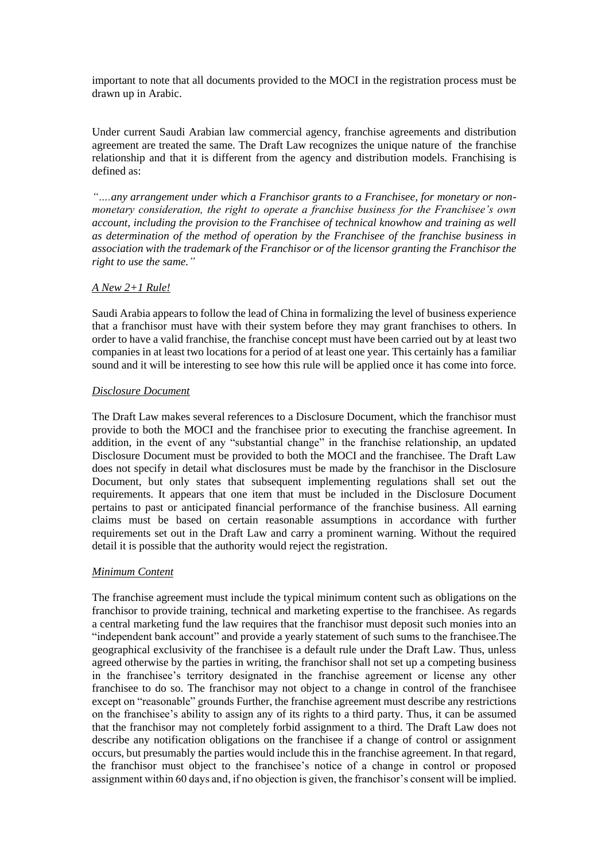important to note that all documents provided to the MOCI in the registration process must be drawn up in Arabic.

Under current Saudi Arabian law commercial agency, franchise agreements and distribution agreement are treated the same. The Draft Law recognizes the unique nature of the franchise relationship and that it is different from the agency and distribution models. Franchising is defined as:

*"….any arrangement under which a Franchisor grants to a Franchisee, for monetary or nonmonetary consideration, the right to operate a franchise business for the Franchisee's own account, including the provision to the Franchisee of technical knowhow and training as well as determination of the method of operation by the Franchisee of the franchise business in association with the trademark of the Franchisor or of the licensor granting the Franchisor the right to use the same."*

### *A New 2+1 Rule!*

Saudi Arabia appears to follow the lead of China in formalizing the level of business experience that a franchisor must have with their system before they may grant franchises to others. In order to have a valid franchise, the franchise concept must have been carried out by at least two companies in at least two locations for a period of at least one year. This certainly has a familiar sound and it will be interesting to see how this rule will be applied once it has come into force.

#### *Disclosure Document*

The Draft Law makes several references to a Disclosure Document, which the franchisor must provide to both the MOCI and the franchisee prior to executing the franchise agreement. In addition, in the event of any "substantial change" in the franchise relationship, an updated Disclosure Document must be provided to both the MOCI and the franchisee. The Draft Law does not specify in detail what disclosures must be made by the franchisor in the Disclosure Document, but only states that subsequent implementing regulations shall set out the requirements. It appears that one item that must be included in the Disclosure Document pertains to past or anticipated financial performance of the franchise business. All earning claims must be based on certain reasonable assumptions in accordance with further requirements set out in the Draft Law and carry a prominent warning. Without the required detail it is possible that the authority would reject the registration.

### *Minimum Content*

The franchise agreement must include the typical minimum content such as obligations on the franchisor to provide training, technical and marketing expertise to the franchisee. As regards a central marketing fund the law requires that the franchisor must deposit such monies into an "independent bank account" and provide a yearly statement of such sums to the franchisee.The geographical exclusivity of the franchisee is a default rule under the Draft Law. Thus, unless agreed otherwise by the parties in writing, the franchisor shall not set up a competing business in the franchisee's territory designated in the franchise agreement or license any other franchisee to do so. The franchisor may not object to a change in control of the franchisee except on "reasonable" grounds Further, the franchise agreement must describe any restrictions on the franchisee's ability to assign any of its rights to a third party. Thus, it can be assumed that the franchisor may not completely forbid assignment to a third. The Draft Law does not describe any notification obligations on the franchisee if a change of control or assignment occurs, but presumably the parties would include this in the franchise agreement. In that regard, the franchisor must object to the franchisee's notice of a change in control or proposed assignment within 60 days and, if no objection is given, the franchisor's consent will be implied.